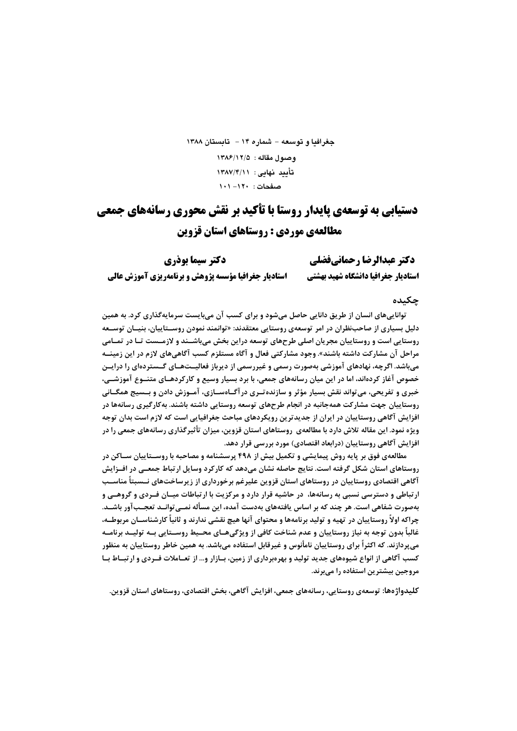# جغرافيا و توسعه – شماره ۱۴ – تابستان ۱۳۸۸ وصبول مقاله: ١٣٨٤/١٢/٥ تأييد نهايي: ١٣٨٧/۴/١١ صفحات: ١٢٠- ١٠١

# دستیابی به توسعهی پایدار روستا با تأکید بر نقش محوری رسانههای جمعی مطالعهی موردی : روستاهای استان قزوین

| دكتر سيما بوذري                                             | دكتر عبدالرضا رحمانيفضلي            |
|-------------------------------------------------------------|-------------------------------------|
| <b>استادیار جغرافیا مؤسسه پژوهش و برنامهریزی آموزش عالی</b> | استاديار جغرافيا دانشكاه شهيد بهشتي |

#### حكىدە

تواناییهای انسان از طریق دانایی حاصل میشود و برای کسب آن میبایست سرمایهگذاری کرد. به همین دلیل بسیاری از صاحبiظران در امر توسعهی روستایی معتقدند: «توانمند نمودن روســتاییان، بنیــان توســعه روستایی است و روستاییان مجریان اصلی طرحهای توسعه دراین بخش میباشــند و لازمــست تــا در تمــامی مراحل آن مشاركت داشته باشند». وجود مشاركتي فعال و آگاه مستلزم كسب آگاهيهاي لازم در اين زمينــه میباشد. اگرچه، نهادهای آموزشی بهصورت رسمی و غیررسمی از دیرباز فعالیــتهــای گــستردهای را درایــن خصوص آغاز کردهاند، اما در این میان رسانههای جمعی، با برد بسیار وسیع و کارکردهـای متنــوع آموزشــی، خبري و تفريحي، مي تواند نقش بسيار مؤثر و سازنده تـري در آگــاهســازي، آمــوزش دادن و بــسيج همگــاني روستاییان جهت مشارکت همهجانبه در انجام طرحهای توسعه روستایی داشته باشند. بهکارگیری رسانهها در افزایش آگاهی روستاییان در ایران از جدیدترین رویکردهای مباحث جغرافیایی است که لازم است بدان توجه ویژه نمود. این مقاله تلاش دارد با مطالعهی روستاهای استان قزوین، میزان تأثیرگذاری رسانههای جمعی را در افزایش آگاهی روستاییان (درابعاد اقتصادی) مورد بررسی قرار دهد.

مطالعهی فوق بر پایه روش پیمایشی و تکمیل بیش از ۴۹۸ پرسشنامه و مصاحبه با روســتاییان ســاکن در روستاهای استان شکل گرفته است. نتایج حاصله نشان میدهد که کارکرد وسایل ارتباط جمعـی در افــزایش آگاهی اقتصادی روستاییان در روستاهای استان قزوین علیرغم برخورداری از زیرساختهای نــسبتاً مناســب ار تباطی و دسترسی نسبی به رسانهها، در حاشیه قرار دارد و مرکزیت با ارتباطات میـان فـردی و گروهــی و بهصورت شفاهی است. هر چند که بر اساس یافتههای بهدست آمده، این مسأله نمــیتوانــد تعجــبآور باشــد. چراکه اولاً روستاییان در تهیه و تولید برنامهها و محتوای آنها هیچ نقشی ندارند و ثانیاً کارشناســان مربوطــه، غالباً بدون توجه به نیاز روستاییان و عدم شناخت کافی از ویژگیهــای محــیط روســتایی بــه تولیــد برنامــه میپردازند. که اکثراً برای روستاییان نامأنوس و غیرقابل استفاده میباشد. به همین خاطر روستاییان به منظور کسب آگاهی از انواع شیوههای جدید تولید و بهرهبرداری از زمین، بـازار و… از تعــاملات فــردی و ارتبــاط بــا مروجین بیشترین استفاده را میبرند.

کلیدواژهها: توسعهی روستایی، رسانههای جمعی، افزایش آگاهی، بخش اقتصادی، روستاهای استان قزوین.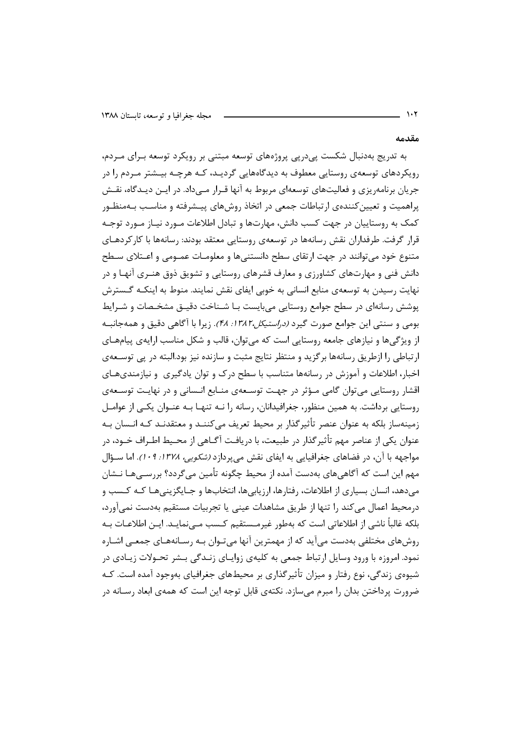#### مقدمه

به تدریج بهدنبال شکست یی در پی پروژههای توسعه مبتنی بر رویکرد توسعه بـرای مـردم، رویکردهای توسعهی روستایی معطوف به دیدگاههایی گردیـد، کـه هرچـه بیـشتر مـردم را در جریان برنامه٫یزی و فعالیتهای توسعهای مربوط به آنها قـرار مــی۱داد. در ایــن دیــدگاه، نقــش پراهمیت و تعیین کنندهی ارتباطات جمعی در اتخاذ روشهای پیـشرفته و مناسـب بـهمنظـور کمک به روستاییان در جهت کسب دانش، مهارتها و تبادل اطلاعات مـورد نیـاز مـورد توجـه قرار گرفت. طرفداران نقش رسانهها در توسعهی روستایی معتقد بودند: رسانهها با کارکردهـای متنوع خود می توانند در جهت ارتقای سطح دانستنیها و معلومـات عمــومی و اعــتلای ســطح دانش فنی و مهارتهای کشاورزی و معارف قشرهای روستایی و تشویق ذوق هنـری آنهـا و در نهایت رسیدن به توسعهی منابع انسانی به خوبی ایفای نقش نمایند. منوط به اینکـه گـسترش پوشش رسانهای در سطح جوامع روستایی میبایست بـا شـناخت دقیـق مشخـصات و شـرایط بومي و سنتي اين جوامع صورت گيرد *(دراستيكل ١٣٨٢، ٢٨)*. زيرا با آگاهي دقيق و همهجانبـه از ویژگیها و نیازهای جامعه روستایی است که می توان، قالب و شکل مناسب ارایهی پیامهـای ارتباطی را ازطریق رسانهها برگزید و منتظر نتایج مثبت و سازنده نیز بود.البته در پی توسـعهی اخبار، اطلاعات و آموزش در رسانهها متناسب با سطح درک و توان یادگیری و نیازمندیهـای اقشار روستایی می توان گامی مـؤثر در جهـت توسـعهی منـابع انـسانی و در نهایـت توسـعهی روستایی برداشت. به همین منظور، جغرافیدانان، رسانه را نـه تنهـا بـه عنـوان یکـی از عوامـل زمینهساز بلکه به عنوان عنصر تأثیرگذار بر محیط تعریف می کننــد و معتقدنــد کــه انــسان بــه عنوان یکی از عناصر مهم تأثیر گذار در طبیعت، با دریافت آگــاهی از محــیط اطــراف خــود، در مواجهه با آن، در فضاهای جغرافیایی به ایفای نقش میپردازد *(شکویی، ۱۳۷۸: ۰۹).* اما سـؤال مهم این است که آگاهی۵مای بهدست آمده از محیط چگونه تأمین می گردد؟ بررســیهـا نــشان می دهد، انسان بسیاری از اطلاعات، رفتارها، ارزیابی ها، انتخابها و جـایگزینی هـا کـه کـسب و درمحیط اعمال میکند را تنها از طریق مشاهدات عینی یا تجربیات مستقیم بهدست نمی آورد، بلکه غالباً ناشی از اطلاعاتی است که بهطور غیرمـستقیم کـسب مـے نمایـد. ایـن اطلاعـات بـه روشهای مختلفی بهدست میآید که از مهمترین آنها میتوان بـه رسـانههـای جمعـی اشـاره نمود. امروزه با ورود وسایل ارتباط جمعی به کلیهی زوایـای زنـدگی بـشر تحـولات زیـادی در شیوهی زندگی، نوع رفتار و میزان تأثیرگذاری بر محیطهای جغرافیای بهوجود آمده است. کـه ضرورت پرداختن بدان را مبرم می سازد. نکتهی قابل توجه این است که همهی ابعاد رسـانه در

 $\mathcal{N}$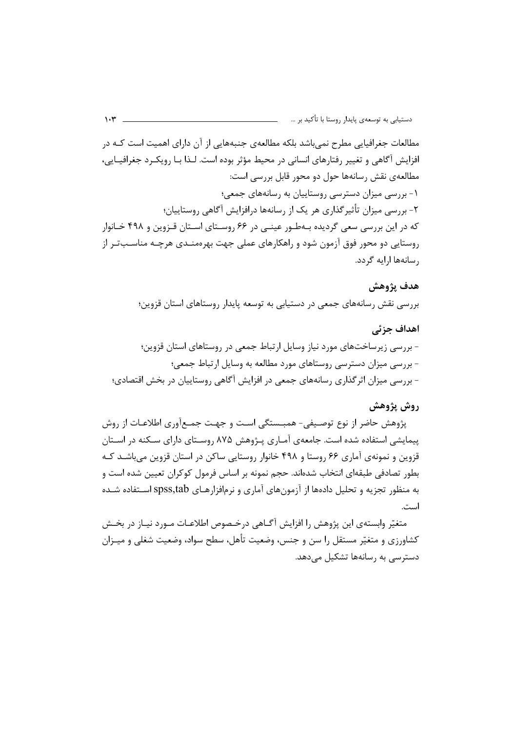مطالعات جغرافیایی مطرح نمیباشد بلکه مطالعهی جنبههایی از آن دارای اهمیت است کـه در افزایش آگاهی و تغییر رفتارهای انسانی در محیط مؤثر بوده است. لـذا بـا رویکـرد جغرافیـایی، مطالعهی نقش رسانهها حول دو محور قابل بررسی است: ۱- بررسی میزان دسترسی روستاییان به رسانههای جمعی؛ ۲- بررسی میزان تأثیر گذاری هر یک از رسانهها درافزایش آگاهی روستاییان؛ که در این بررسی سعی گردیده بـهطـور عینـی در ۶۶ روسـتای اسـتان قـزوین و ۴۹۸ خـانوار روستایی دو محور فوق آزمون شود و راهکارهای عملی جهت بهرهمنـدی هرچـه مناسـبتـر از رسانهها ارایه گردد.

#### هدف يژوهش

بررسی نقش رسانههای جمعی در دستیابی به توسعه پایدار روستاهای استان قزوین؛

#### اهداف جزئي

- بررسی زیرساختهای مورد نیاز وسایل ارتباط جمعی در روستاهای استان قزوین؛ - بررسی میزان دسترسی روستاهای مورد مطالعه به وسایل ارتباط جمعی؛ - بررسی میزان اثرگذاری رسانههای جمعی در افزایش آگاهی روستاییان در بخش اقتصادی؛

## روش پژوهش

پژوهش حاضر از نوع توصـیفی- همبــستگی اسـت و جهـت جمــع[ّوری اطلاعـات از روش پیمایشی استفاده شده است. جامعهی آمـاری پـژوهش ۸۷۵ روسـتای دارای سـکنه در اسـتان قزوین و نمونهی آماری ۶۶ روستا و ۴۹۸ خانوار روستایی ساکن در استان قزوین میباشـد کـه بطور تصادفی طبقهای انتخاب شدهاند. حجم نمونه بر اساس فرمول کوکران تعیین شده است و به منظور تجزیه و تحلیل دادهها از آزمونهای آماری و نرمافزارهـای spss,tab اســتفاده شــده است.

متغیّر وابستهی این پژوهش را افزایش آگـاهی درخـصوص اطلاعـات مــورد نیــاز در بخــش کشاورزی و متغیّر مستقل را سن و جنس، وضعیت تأهل، سطح سواد، وضعیت شغلی و میـزان دسترسے به رسانهها تشکیل مے دهد.

#### $\mathcal{W}$  -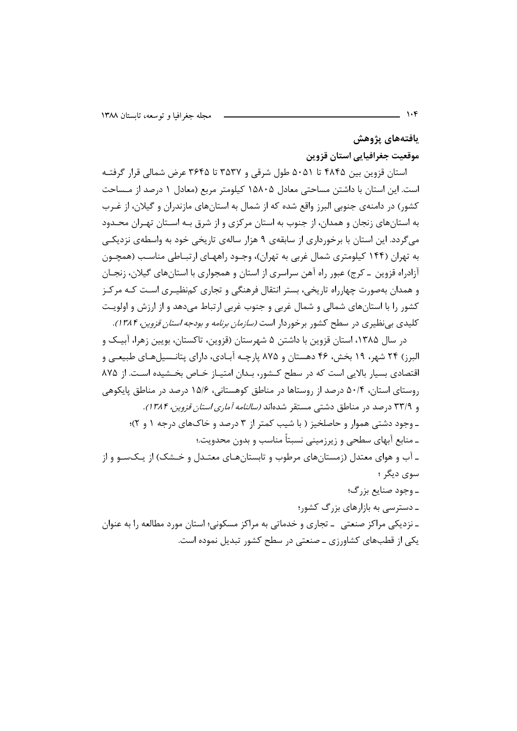يافتههاى پژوهش

موقعیت جغرافیایی استان قزوین

استان قزوین بین ۴۸۴۵ تا ۵۰۵۱ طول شرقی و ۳۵۳۷ تا ۳۶۴۵ عرض شمالی قرار گرفتـه است. این استان با داشتن مساحتی معادل ۱۵۸۰۵ کیلومتر مربع (معادل ۱ درصد از مـساحت کشور) در دامنهی جنوبی البرز واقع شده که از شمال به استانهای مازندران و گیلان، از غـرب به استانهای زنجان و همدان، از جنوب به استان مرکزی و از شرق بـه اسـتان تهـران محـدود می گردد. این استان با برخورداری از سابقهی ۹ هزار سالهی تاریخی خود به واسطهی نزدیکی به تهران (۱۴۴ کیلومتری شمال غربی به تهران)، وجـود راههـای ارتبـاطی مناسـب (همچـون آزادراه قزوین \_ کرج) عبور راه آهن سراسری از استان و همجواری با استانهای گیلان، زنجـان و همدان بهصورت چهارراه تاریخی، بستر انتقال فرهنگی و تجاری کمنظیـری اسـت کـه مرکـز کشور را با استانهای شمالی و شمال غربی و جنوب غربی ارتباط میدهد و از ارزش و اولویت کلیدی بی نظیری در سطح کشور برخوردار است *(سازمان برنامه و بودجه استان قزوین، ۱۳۸۴)*.

در سال ۱۳۸۵، استان قزوین با داشتن ۵ شهرستان (قزوین، تاکستان، بویین زهرا، آبیـک و البرز) ۲۴ شهر، ۱۹ بخش، ۴۶ دهستان و ۸۷۵ پارچـه آبـادی، دارای پتانـسیلهـای طبیعـی و اقتصادی بسیار بالایی است که در سطح کـشور، بـدان امتیـاز خـاص بخـشیده اسـت. از ۸۷۵ روستای استان، ۵۰/۴ درصد از روستاها در مناطق کوهستانی، ۱۵/۶ درصد در مناطق پایکوهی و ۳۳/۹ درصد در مناطق دشتی مستقر شدهاند *(سالنامه آماری استان قزوین، ۱۳۸۴)*. ـ وجود دشتی هموار و حاصلخیز ( با شیب کمتر از ۳ درصد و خاکهای درجه ۱ و ۲)؛ ـ منابع آبهای سطحی و زیرزمینی نسبتاً مناسب و بدون محدویت.؛ ـ آب و هوای معتدل (زمستانهای مرطوب و تابستانهـای معتـدل و خـشک) از یـکسـو و از سوي ديگر ؛ ۔ وجود صنایع بزرگ؛ ـ دسترسی به بازارهای بزرگ کشور؛ ـ نزدیکی مراکز صنعتی ـ تجاری و خدماتی به مراکز مسکونی؛ استان مورد مطالعه را به عنوان یکی از قطبهای کشاورزی ـ صنعتی در سطح کشور تبدیل نموده است.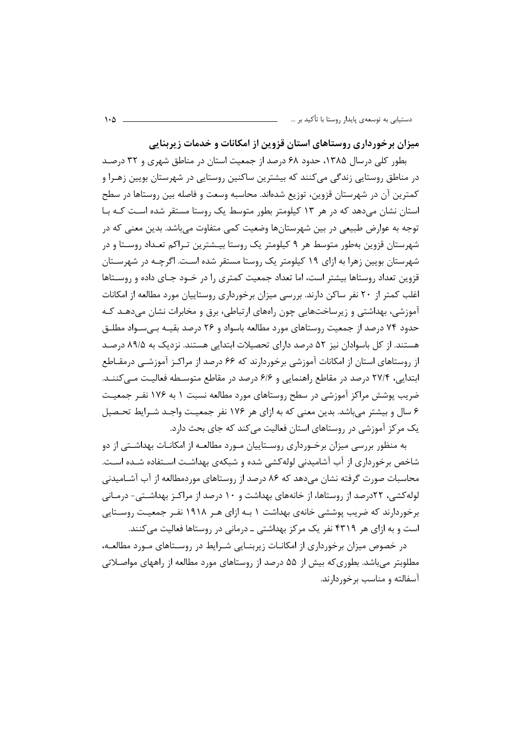میزان برخورداری روستاهای استان قزوین از امکانات و خدمات زیربنایی

بطور کلی درسال ۱۳۸۵، حدود ۶۸ درصد از جمعیت استان در مناطق شهری و ۳۲ درصد در مناطق روستایی زندگی می کنند که بیشترین ساکنین روستایی در شهرستان بویین زهـرا و كمترين آن در شهرستان قزوين، توزيع شدهاند. محاسبه وسعت و فاصله بين روستاها در سطح استان نشان می دهد که در هر ۱۳ کیلومتر بطور متوسط یک روستا مستقر شده است کـه بـا توجه به عوارض طبیعی در بین شهرستانها وضعیت کمی متفاوت میباشد. بدین معنی که در شهرستان قزوین بهطور متوسط هر ۹ کیلومتر یک روستا بیـشترین تـراکم تعـداد روســتا و در شهرستان بویین زهرا به ازای ۱۹ کیلومتر یک روستا مستقر شده اسـت. اگرچـه در شهرسـتان قزوین تعداد روستاها بیشتر است، اما تعداد جمعیت کمتری را در خـود جـای داده و روسـتاها اغلب کمتر از ۲۰ نفر ساکن دارند. بررسی میزان برخورداری روستاییان مورد مطالعه از امکانات آموزشی، بهداشتی و زیرساختهایی چون راههای ارتباطی، برق و مخابرات نشان میدهـد کـه حدود ۷۴ درصد از جمعیت روستاهای مورد مطالعه باسواد و ۲۶ درصد بقیـه بـی سـواد مطلـق هستند. از کل باسوادان نیز ۵۲ درصد دارای تحصیلات ابتدایی هستند. نزدیک به ۸۹/۵ درصـد از روستاهای استان از امکانات آموزشی برخوردارند که ۶۶ درصد از مراکـز آموزشــی درمقــاطع ابتدایی، ۲۷/۴ درصد در مقاطع راهنمایی و ۶/۶ درصد در مقاطع متوسطه فعالیت مے کننـد. ضریب پوشش مراکز آموزشی در سطح روستاهای مورد مطالعه نسبت ۱ به ۱۷۶ نفـر جمعیـت ۶ سال و بیشتر می باشد. بدین معنی که به ازای هر ۱۷۶ نفر جمعیت واجـد شـرایط تحـصیل یک مرکز آموزشی در روستاهای استان فعالیت میکند که جای بحث دارد.

به منظور بررسی میزان برخـورداری روسـتاییان مـورد مطالعـه از امکانـات بهداشـتی از دو شاخص برخورداری از آب آشامیدنی لوله کشی شده و شبکهی بهداشت استفاده شـده اسـت. محاسبات صورت گرفته نشان می۵هد که ۸۶ درصد از روستاهای موردمطالعه از آب آشـامیدنی لوله کشی، ۲۲درصد از روستاها، از خانههای بهداشت و ۱۰ درصد از مراکـز بهداشـتی- درمـانی برخوردارند که ضریب پوششی خانهی بهداشت ۱ بـه ازای هـر ۱۹۱۸ نفـر جمعیـت روسـتایی است و به ازای هر ۴۳۱۹ نفر یک مرکز بهداشتی ـ درمانی در روستاها فعالیت میکنند.

در خصوص میزان برخورداری از امکانـات زیربنـایی شـرایط در روسـتاهای مـورد مطالعـه، مطلوبتر میباشد. بطوریکه بیش از ۵۵ درصد از روستاهای مورد مطالعه از راههای مواصـلاتی آسفالته و مناسب برخوردارند.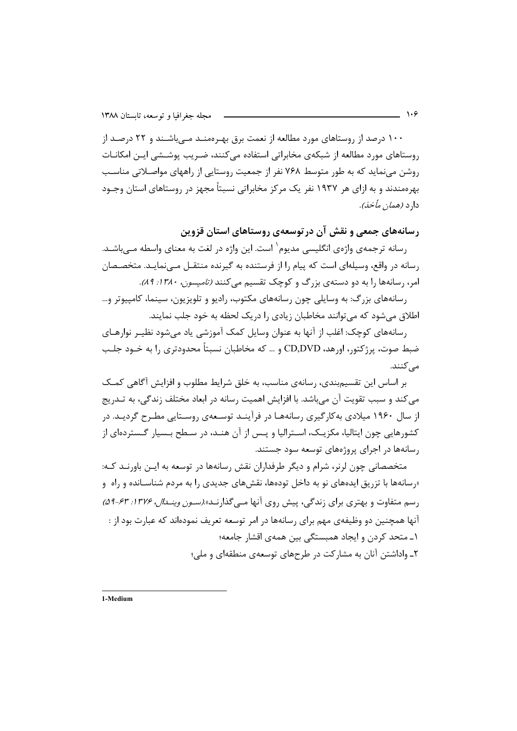۱۰۰ درصد از روستاهای مورد مطالعه از نعمت برق بهـرهمنـد مـیباشـند و ۲۲ درصـد از روستاهای مورد مطالعه از شبکهی مخابراتی استفاده می کنند، ضـریب پوشـشی ایـن امکانـات روشن می نماید که به طور متوسط ۷۶۸ نفر از جمعیت روستایی از راههای مواصـلاتی مناسـب بهرهمندند و به ازای هر ۱۹۳۷ نفر یک مرکز مخابراتی نسبتاً مجهز در روستاهای استان وجــود دا د (*همان مأخذ).* 

رسانههای جمعی و نقش آن در توسعهی روستاهای استان قزوین

رسانه ترجمهی واژەی انگلیسی مدیوم` است. این واژه در لغت به معنای واسطه مـی.باشــد. رسانه در واقع، وسیلهای است که پیام را از فرستنده به گیرنده منتقـل مـی;نمایـد. متخصـصان امر، رسانهها را به دو دستهی بزرگ و کوچک تقسیم میکنند *(تامیسون، ۱۳۸۰: ۸۹).* 

رسانههای بزرگ: به وسایلی چون رسانههای مکتوب، رادیو و تلویزیون، سینما، کامپیوتر و… اطلاق میشود که می توانند مخاطبان زیادی را دریک لحظه به خود جلب نمایند.

رسانههای کوچک: اغلب از آنها به عنوان وسایل کمک آموزشی یاد میشود نظیـر نوارهـای ضبط صوت، پرژکتور، اورهد، CD,DVD و … که مخاطبان نسبتاً محدودتری را به خــود جلــب مے کنند.

بر اساس این تقسیم بندی، رسانهی مناسب، به خلق شرایط مطلوب و افزایش آگاهی کمک می کند و سبب تقویت آن می باشد. با افزایش اهمیت رسانه در ابعاد مختلف زندگی، به تــدریج از سال ۱۹۶۰ میلادی به کارگیری رسانههـا در فرآینـد توسـعهی روسـتایی مطـرح گردیـد. در کشورهایی چون ایتالیا، مکزیـک، اسـترالیا و پـس از آن هنـد، در سـطح بـسیار گـستردهای از رسانهها در اجرای پروژههای توسعه سود جستند.

متخصصانی چون لرنر، شرام و دیگر طرفداران نقش رسانهها در توسعه به ایـن باورنـد کـه: «رسانهها با تزریق ایدههای نو به داخل تودهها، نقشهای جدیدی را به مردم شناسـانده و راه و <sub>د</sub>سم متفاوت و بهتری برای زندگی، پیش روی آنها مے گذارنـد» *(سـون وینـدال، ۱۳۷۶: ۶۳-۵۹)* آنها همچنین دو وظیفهی مهم برای رسانهها در امر توسعه تعریف نمودهاند که عبارت بود از : ۱ـ متحد کردن و ایجاد همبستگی بین همهی اقشار جامعه؛ ۲ـ واداشتن آنان به مشارکت در طرحهای توسعهی منطقهای و ملی؛

1-Medium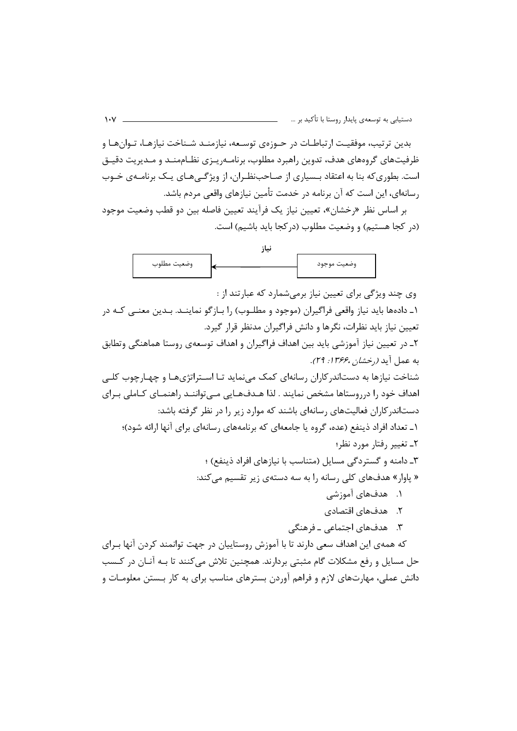بدین ترتیب، موفقیـت ارتباطـات در حـوزهی توسـعه، نیازمنـد شـناخت نیازهـا، تـوانهـا و ظرفیتهای گروههای هدف، تدوین راهبرد مطلوب، برنامـهریـزی نظـاممنـد و مـدیریت دقیـق است. بطوری که بنا به اعتقاد بـسیاری از صـاحبنظـران، از ویژگـی هـای یـک برنامـهی خـوب رسانهای، این است که آن برنامه در خدمت تأمین نیازهای واقعی مردم باشد.

بر اساس نظر «رخشان»، تعيين نياز يک فرآيند تعيين فاصله بين دو قطب وضعيت موجود (در كجا هستيم) و وضعيت مطلوب (در كجا بايد باشيم) است.



وی چند ویژگی برای تعیین نیاز برمی شمارد که عبارتند از : ۱ـ دادهها باید نیاز واقعی فراگیران (موجود و مطلـوب) را بـازگو نماینــد. بـدین معنــی کـه در تعیین نیاز باید نظرات، نگرها و دانش فراگیران مدنظر قرار گیرد. ۲ـ در تعیین نیاز آموزشی باید بین اهداف فراگیران و اهداف توسعهی روستا هماهنگی وتطابق به عمل آبد *(,خشان ،۱۳۶۶: ۲۹).* شناخت نیازها به دستاندر کاران رسانهای کمک می،نماید تـا اسـتراتژیهـا و چهـارچوب کلـی اهداف خود را درروستاها مشخص نمایند . لذا هـدفهـایی مـی تواننـد راهنمـای کـاملی بـرای دستاندر کاران فعالیتهای رسانهای باشند که موارد زیر را در نظر گرفته باشد: ۱\_ تعداد افراد ذینفع (عده، گروه یا جامعهای که برنامههای رسانهای برای آنها ارائه شود)؛ ٢\_ تغيير رفتار مورد نظر؛ ۳ـ دامنه و گستردگی مسایل (متناسب با نیازهای افراد ذینفع) ؛ « پاوار» هدفهای کلی رسانه را به سه دستهی زیر تقسیم میکند: ۱. هدفهای آموزشی ٢. هدفهای اقتصادی ۳. هدفهای اجتماعی ـ فرهنگی که همهی این اهداف سعی دارند تا با آموزش روستاییان در جهت توانمند کردن آنها بـرای

حل مسایل و رفع مشکلات گام مثبتی بردارند. همچنین تلاش می کنند تا بـه آنـان در کـسب دانش عملی، مهارتهای لازم و فراهم آوردن بسترهای مناسب برای به کار بـستن معلومـات و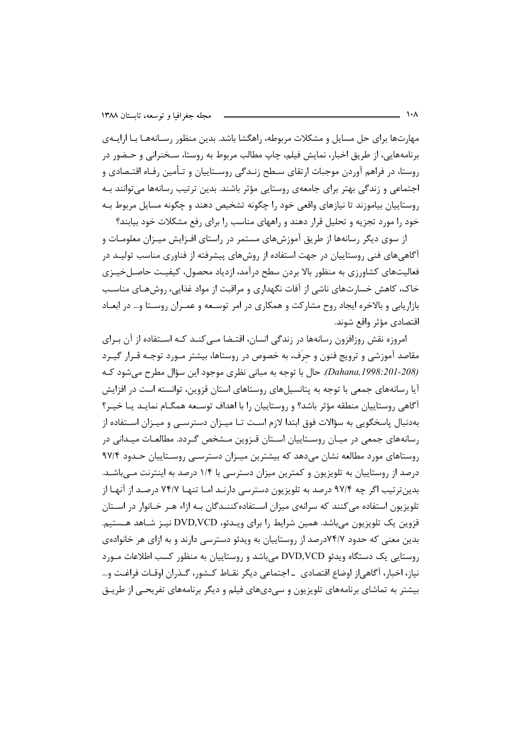مهارتها برای حل مسایل و مشکلات مربوطه، راهگشا باشد. بدین منظور رسـانههـا بـا ارایــهی برنامههایی، از طریق اخبار، نمایش فیلم، چاپ مطالب مربوط به روستا، سـخنرانی و حـضور در روستا، در فراهم آوردن موجبات ارتقای سـطح زنـدگی روسـتاییان و تـأمین رفـاه اقتـصادی و اجتماعی و زندگی بهتر برای جامعهی روستایی مؤثر باشند. بدین ترتیب رسانهها میتوانند بـه روستاييان بياموزند تا نيازهاي واقعي خود را چگونه تشخيص دهند و چگونه مسايل مربوط بـه خود را مورد تجزیه و تحلیل قرار دهند و راههای مناسب را برای رفع مشکلات خود بیابند؟

از سوی دیگر رسانهها از طریق آموزشهای مستمر در راستای افـزایش میـزان معلومـات و آگاهی های فنی روستاییان در جهت استفاده از روش های پیشرفته از فناوری مناسب تولیـد در فعالیتهای کشاورزی به منظور بالا بردن سطح درآمد، ازدیاد محصول، کیفیـت حاصـلخیـزی خاک، کاهش خسارتهای ناشی از آفات نگهداری و مراقبت از مواد غذایی، روشهـای مناسـب بازاریابی و بالاخره ایجاد روح مشارکت و همکاری در امر توسـعه و عمـران روسـتا و… در ابعـاد اقتصادي مؤثر واقع شوند.

امروزه نقش روزافزون رسانهها در زندگی انسان، اقتضا مےکند کـه اسـتفاده از آن بـرای مقاصد آموزشی و ترویج فنون و حرّف، به خصوص در روستاها، بیشتر مـورد توجـه قـرار گیـرد (Dahana, 1998: 201-208). حال با توجه به مبانی نظری موجود این سؤال مطرح می شود کـه آیا رسانههای جمعی با توجه به پتانسیلهای روستاهای استان قزوین، توانسته است در افزایش آگاهی روستاییان منطقه مؤثر باشد؟ و روستاییان را با اهداف توسعه همگـام نمایـد یـا خیـر؟ بهدنبال یاسخگویی به سؤالات فوق ابتدا لازم است تـا میـزان دسترسـی و میـزان اسـتفاده از رسانههای جمعی در میـان روسـتاییان اسـتان قـزوین مـشخص گـردد. مطالعـات میـدانی در روستاهای مورد مطالعه نشان میدهد که بیشترین میـزان دسترسـی روسـتاییان حـدود ۹۷/۴ درصد از روستاییان به تلویزیون و کمترین میزان دسترسی با ۱/۴ درصد به اینترنت مـیباشـد. بدین تر تیب اگر چه ۹۷/۴ درصد به تلویزیون دسترسی دارنـد امـا تنهـا ۷۴/۷ درصـد از آنهـا از تلویزیون استفاده می کنند که سرانهی میزان اسـتفادهکننـدگان بـه ازاء هـر خـانوار در اسـتان قزوین یک تلویزیون می باشد. همین شرایط را برای ویـدئو، DVD,VCD نیـز شـاهد هـستیم. بدین معنی که حدود ۷۴/۷درصد از روستاییان به ویدئو دسترسی دارند و به ازای هر خانوادهی روستایی یک دستگاه ویدئو DVD,VCD می باشد و روستاییان به منظور کسب اطلاعات مـورد نياز، اخبار، ٱگاهي|ز اوضاع اقتصادي ـ اجتماعي ديگر نقــاط كــشور، گــذران اوقــات فراغـت و… بیشتر به تماشای برنامههای تلویزیون و سی،دیهای فیلم و دیگر برنامههای تفریحـی از طریــق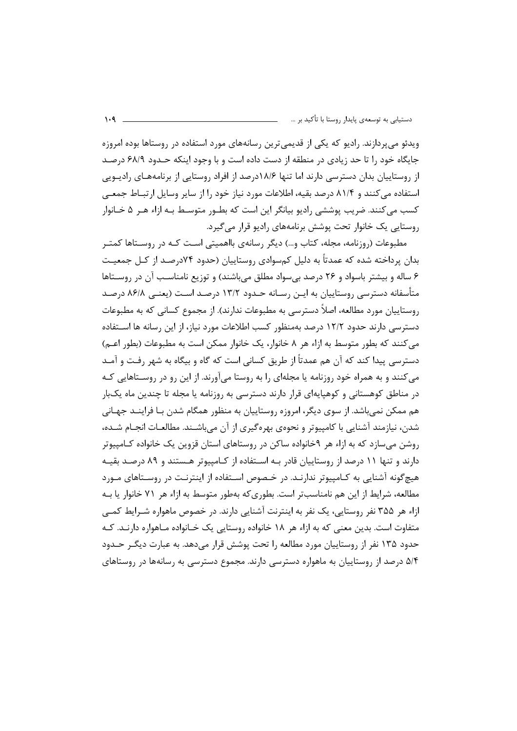ویدئو می پردازند. رادیو که یکی از قدیمی ترین رسانههای مورد استفاده در روستاها بوده امروزه جایگاه خود را تا حد زیادی در منطقه از دست داده است و با وجود اینکه حـدود ۶۸/۹ درصـد از روستاییان بدان دسترسی دارند اما تنها ۱۸/۶درصد از افراد روستایی از برنامههـای رادیـویی استفاده می کنند و ۸۱/۴ درصد بقیه، اطلاعات مورد نیاز خود را از سایر وسایل ارتباط جمعی کسب می کنند. ضریب پوششی رادیو بیانگر این است که بطـور متوسـط بـه ازاء هـر ۵ خـانوار روستایی یک خانوار تحت پوشش برنامههای رادیو قرار می گیرد.

مطبوعات (روزنامه، مجله، کتاب و…) دیگر رسانهی بااهمیتی اسـت کـه در روسـتاها کمتـر بدان پرداخته شده که عمدتاً به دلیل کمسوادی روستاییان (حدود ۷۴درصـد از کـل جمعیـت ۶ ساله و بیشتر باسواد و ۲۶ درصد بی سواد مطلق می باشند) و توزیع نامناسب آن در روستاها متأسفانه دسترسی روستاییان به ایـن رسـانه حـدود ۱۳/۲ درصـد اسـت (یعنــی ۸۶/۸ درصـد روستاییان مورد مطالعه، اصلاً دسترسی به مطبوعات ندارند). از مجموع کسانی که به مطبوعات دسترسی دارند حدود ۱۲/۲ درصد بهمنظور کسب اطلاعات مورد نیاز، از این رسانه ها اسـتفاده می کنند که بطور متوسط به ازاء هر ۸ خانوار، یک خانوار ممکن است به مطبوعات (بطور اعـم) دسترسی پیدا کند که آن هم عمدتاً از طریق کسانی است که گاه و بیگاه به شهر رفـت و آمـد می کنند و به همراه خود روزنامه یا مجلهای را به روستا میآورند. از این رو در روسـتاهایی کـه در مناطق کوهستانی و کوهپایهای قرار دارند دسترسی به روزنامه یا مجله تا چندین ماه یکبار هم ممکن نمیباشد. از سوی دیگر، امروزه روستاییان به منظور همگام شدن بـا فراینــد جهـانی شدن، نیازمند آشنایی با کامپیوتر و نحوهی بهرهگیری از آن می باشـند. مطالعـات انجـام شـده، روشن می سازد که به ازاء هر ۹خانواده ساکن در روستاهای استان قزوین یک خانواده کـامپیوتر دارند و تنها ۱۱ درصد از روستاییان قادر بـه اسـتفاده از کـامپیوتر هـستند و ۸۹ درصـد بقیـه هیچگونه آشنایی به کـامپیوتر ندارنـد. در خـصوص اسـتفاده از اینترنـت در روسـتاهای مـورد مطالعه، شرايط از اين هم نامناسبتر است. بطوري كه بهطور متوسط به ازاء هر ٧١ خانوار يا بـه ازاء هر ۳۵۵ نفر روستایی، یک نفر به اینترنت آشنایی دارند. در خصوص ماهواره شـرایط کمـی متفاوت است. بدین معنی که به ازاء هر ۱۸ خانواده روستایی یک خـانواده مـاهواره دارنـد. کـه حدود ۱۳۵ نفر از روستاییان مورد مطالعه را تحت پوشش قرار میدهد. به عبارت دیگـر حــدود ۵/۴ درصد از روستاییان به ماهواره دسترسی دارند. مجموع دسترسی به رسانهها در روستاهای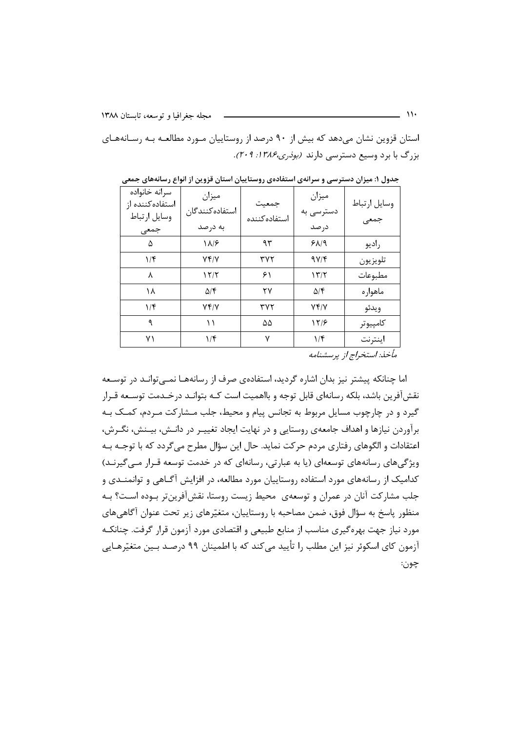استان قزوین نشان می دهد که بیش از ۹۰ درصد از روستاییان مـورد مطالعـه بـه رسـانههـای بزرگ با برد وسیع دسترسی دارند (بودری،۳۸۶ ا: ۲۰۹).

| سرانه خانواده<br>استفاده كننده از | ميزان                 | جمعيت          | ميزان                | وسايل ارتباط                        |
|-----------------------------------|-----------------------|----------------|----------------------|-------------------------------------|
| وسايل ارتباط                      | استفاده كنندگان       | استفاده كننده  | دسترسی به            | جمعى                                |
| جمعى                              | به درصد               |                | درصد                 |                                     |
| ۵                                 | ۱۸/۶                  | ۹۳             | $P\Lambda$           | راديو                               |
| $1/\mathfrak{f}$                  | Yf/Y                  | ۳۷۲            | 9Y/F                 | تلويزيون                            |
| λ                                 | 12/1                  | ۶۱             | 157                  | مطبوعات                             |
| ۱۸                                | $\Delta/\mathfrak{F}$ | ۲۷             | $\Delta$ /۴          | ماهواره                             |
| $1/\mathfrak{f}$                  | Yf/Y                  | ۳۷۲            | 74Y                  | ويدئو                               |
| ٩                                 | ۱۱                    | $\Delta\Delta$ | 1218                 | كامپيوتر                            |
| ۷١                                | $1/\mathfrak{f}$      | ٧              | $1/\mathfrak{F}$     | اينترنت                             |
|                                   |                       |                | $\sim$ $\sim$ $\sim$ | $1 \cdot 1 \cdot 1 \cdot 1 \cdot 1$ |

جدول ۱: میزان دسترسی و سرانهی استفادهی روستاییان استان قزوین از انواع رسانههای جمعی

مأخذ: استخراج از پرسشنامه

اما چنانکه پیشتر نیز بدان اشاره گردید، استفادهی صرف از رسانههـا نمــی توانــد در توســعه نقش آفرین باشد، بلکه رسانهای قابل توجه و بااهمیت است کـه بتوانـد درخـدمت توســعه قــرار گیرد و در چارچوب مسایل مربوط به تجانس پیام و محیط، جلب مــشار کت مــردم، کمــک بــه برآوردن نیازها و اهداف جامعهی روستایی و در نهایت ایجاد تغییـر در دانـش، بیـنش، نگـرش، اعتقادات و الگوهای رفتاری مردم حرکت نماید. حال این سؤال مطرح می گردد که با توجـه بـه ویژگیهای رسانههای توسعهای (یا به عبارتی، رسانهای که در خدمت توسعه قـرار مـیگیرنـد) کدامیک از رسانههای مورد استفاده روستاییان مورد مطالعه، در افزایش آگـاهی و توانمنــدی و جلب مشاركت آنان در عمران و توسعهى محيط زيست روستا، نقشآفرين تر بـوده اسـت؟ بـه منظور پاسخ به سؤال فوق، ضمن مصاحبه با روستاییان، متغیّرهای زیر تحت عنوان آگاهی های مورد نیاز جهت بهرهگیری مناسب از منابع طبیعی و اقتصادی مورد آزمون قرار گرفت. چنانکـه آزمون کای اسکوئر نیز این مطلب را تأیید می کند که با اطمینان ۹۹ درصـد بـین متغیّرهـایی چون: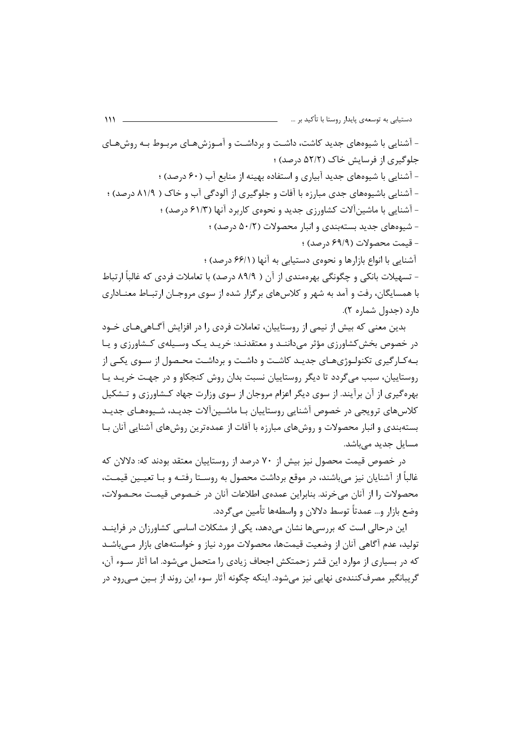– آشنایی با شیوههای جدید کاشت، داشـت و برداشـت و آمـوزشهـای مربـوط بـه روشهـای جلوگیری از فرسایش خاک (۵۲/۲ درصد) ؛ - آشنایی با شیوههای جدید آبیاری و استفاده بهینه از منابع آب (۶۰ درصد) ؛ - آشنایی باشیوههای جدی مبارزه با آفات و جلوگیری از آلودگی آب و خاک ( ۸۱/۹ درصد) ؛ - آشنایی با ماشین آلات کشاورزی جدید و نحوهی کاربرد آنها (۶۱/۳ درصد) ؛ - شیوههای جدید بستهبندی و انبار محصولات (۵۰/۲ درصد) ؛ - قيمت محصولات (۶۹/۹ درصد) ؛ آشنایی با انواع بازارها و نحوهی دستیابی به آنها (۶۶/۱ درصد) ؛ - تسهیلات بانکی و چگونگی بهرهمندی از آن ( ۸۹/۹ درصد) با تعاملات فردی که غالباً ارتباط با همسایگان، رفت و آمد به شهر و کلاس های برگزار شده از سوی مروجـان ارتبــاط معنــاداری

 $\mathcal{W}$ 

دارد (جدول شماره ۲).

بدین معنی که بیش از نیمی از روستاییان، تعاملات فردی را در افزایش آگــاهی۵هــای خــود در خصوص بخش کشاورزی مؤثر می داننـد و معتقدنـد: خریـد یـک وسـیلهی کـشاورزی و یـا بـه کـار گیری تکنولـوژیهـای جدیـد کاشـت و داشـت و برداشـت محـصول از سـوی یکـی از روستاییان، سبب می گردد تا دیگر روستاییان نسبت بدان روش کنجکاو و در جهت خریـد یـا بهره گیری از آن برآیند. از سوی دیگر اعزام مروجان از سوی وزارت جهاد کـشاورزی و تـشکیل کلاس های ترویجی در خصوص آشنایی روستاییان بـا ماشـین آلات جدیـد، شـیوههـای جدیـد بستهبندی و انبار محصولات و روشهای مبارزه با آفات از عمدهترین روشهای آشنایی آنان بـا مسایل جدید مے باشد.

در خصوص قیمت محصول نیز بیش از ۷۰ درصد از روستاییان معتقد بودند که: دلالان که غالباً از آشنایان نیز میباشند، در موقع برداشت محصول به روسـتا رفتـه و بـا تعیـین قیمـت، محصولات ,ا از آنان می خرند. بنابراین عمدهی اطلاعات آنان در خـصوص قیمـت محـصولات، وضع بازار و… عمدتاً توسط دلالان و واسطهها تأمین می گردد.

این درحالی است که بررسی ها نشان می دهد، یکی از مشکلات اساسی کشاورزان در فراینــد تولید، عدم آگاهی آنان از وضعیت قیمتها، محصولات مورد نیاز و خواستههای بازار مــی باشــد که در بسیاری از موارد این قشر زحمتکش اجحاف زیادی را متحمل می شود. اما آثار ســوء آن، گريبانگير مصرف کنندهي نهايي نيز مي شود. اينکه چگونه آثار سوء اين روند از بــين مــي ود در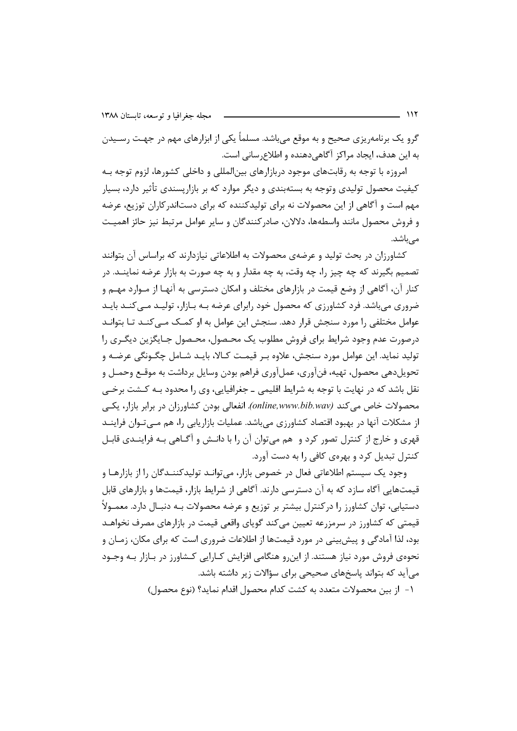گرو یک برنامه٫یزی صحیح و به موقع می باشد. مسلماً یکی از ابزارهای مهم در جهت رسـیدن به این هدف، ایجاد مراکز آگاهی دهنده و اطلاع سانی است.

امروزه با توجه به رقابتهای موجود دربازارهای بین|لمللی و داخلی کشورها، لزوم توجه بـه کیفیت محصول تولیدی وتوجه به بستهبندی و دیگر موارد که بر بازاریسندی تأثیر دارد، بسیار مهم است و آگاهی از این محصولات نه برای تولیدکننده که برای دستاندرکاران توزیع، عرضه و فروش محصول مانند واسطهها، دلالان، صادر كنندگان و ساير عوامل مرتبط نيز حائز اهميت مىباشد.

کشاورزان در بحث تولید و عرضهی محصولات به اطلاعاتی نیازدارند که براساس آن بتوانند تصميم بگيرند كه چه چيز ٫ا، چه وقت، به چه مقدار و به چه صورت به بازار عرضه نماينــد. در کنار آن، آگاهی از وضع قیمت در بازارهای مختلف و امکان دسترسی به آنهـا از مـوارد مهـم و ضروری میباشد. فرد کشاورزی که محصول خود رابرای عرضه بـه بـازار، تولیـد مـیکنـد بایـد عوامل مختلفی را مورد سنجش قرار دهد. سنجش این عوامل به او کمـک مـی کنـد تـا بتوانـد درصورت عدم وجود شرایط برای فروش مطلوب یک محـصول، محـصول جـایگزین دیگـری را تولید نماید. این عوامل مورد سنجش، علاوه بـر قیمـت کـالا، بایـد شـامل چگـونگی عرضـه و تحویل دهی محصول، تهیه، فنآوری، عملآوری فراهم بودن وسایل برداشت به موقـع وحمـل و نقل باشد که در نهایت با توجه به شرایط اقلیمی ـ جغرافیایی، وی را محدود بـه کـشت برخـی محصولات خاص می کند (online,www.bib.wav). انفعالی بودن کشاورزان در برابر بازار، یکبی از مشکلات آنها در بهبود اقتصاد کشاورزی مے باشد. عملیات بازاریابی را، هم مے تـوان فراینــد قهری و خارج از کنترل تصور کرد و هم می¤وان آن را با دانـش و آگــاهی بـه فراینــدی قابـل کنترل تبدیل کرد و بهروی کافی را به دست آورد.

وجود یک سیستم اطلاعاتی فعال در خصوص بازار، میتوانـد تولیدکننـدگان را از بازارهـا و قیمتهایی آگاه سازد که به آن دسترسی دارند. آگاهی از شرایط بازار، قیمتها و بازارهای قابل دستیابی، توان کشاورز را درکنترل بیشتر بر توزیع و عرضه محصولات بـه دنبـال دارد. معمـولاً قیمتی که کشاورز در سرمزرعه تعیین می کند گویای واقعی قیمت در بازارهای مصرف نخواهـد بود، لذا آمادگی و پیش بینی در مورد قیمتها از اطلاعات ضروری است که برای مکان، زمـان و نحوهی فروش مورد نیاز هستند. از این و هنگامی افزایش کـارایی کـشاورز در بـازار بـه وجـود می آید که بتواند پاسخهای صحیحی برای سؤالات زیر داشته باشد.

١- إز بين محصولات متعدد به كشت كدام محصول اقدام نمايد؟ (نوع محصول)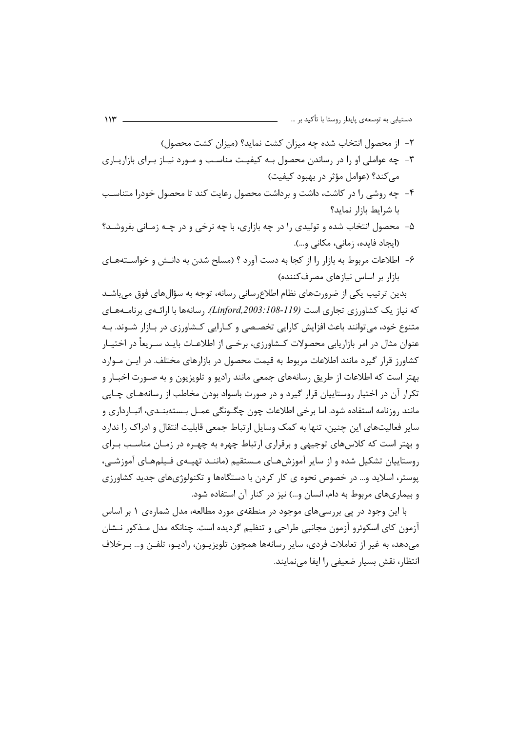- ٢- از محصول انتخاب شده چه میزان کشت نماید؟ (میزان کشت محصول)
- ۳- چه عواملی او را در رساندن محصول بـه کیفیـت مناسـب و مـورد نیـاز بـرای بازاریـاری می کند؟ (عوامل مؤثر در بهبود کیفیت)
- ۴- چه روشی را در کاشت، داشت و برداشت محصول رعایت کند تا محصول خودرا متناسب با شرایط بازار نماید؟
- ۵- محصول انتخاب شده و تولیدی را در چه بازاری، با چه نرخی و در چـه زمـانی بفروشـد؟ (ایجاد فایده، زمانی، مکانی و…).
- ۶- اطلاعات مربوط به بازار را از کجا به دست آورد ؟ (مسلح شدن به دانـش و خواســتههــای بازار بر اساس نیازهای مصرف کننده)

بدین ترتیب یکی از ضرورتهای نظام اطلاع سانی رسانه، توجه به سؤالهای فوق می باشـد که نیاز یک کشاورزی تجاری است (Linford,2003:108-119). رسانهها با ارائـهی برنامـههـای متنوع خود، می توانند باعث افزایش کارایی تخصـصی و کــارایی کــشاورزی در بــازار شــوند. بــه عنوان مثال در امر بازاریابی محصولات کـشاورزی، برخــی از اطلاعـات بایـد سـریعاً در اختیــار کشاورز قرار گیرد مانند اطلاعات مربوط به قیمت محصول در بازارهای مختلف. در ایـن مـوارد بهتر است که اطلاعات از طریق رسانههای جمعی مانند رادیو و تلویزیون و به صـورت اخبــار و تکرار آن در اختیار روستاییان قرار گیرد و در صورت باسواد بودن مخاطب از رسانههای چـاپی مانند روزنامه استفاده شود. اما برخی اطلاعات چون چگـونگی عمـل بـستهبنـدی، انبـارداری و سایر فعالیتهای این چنین، تنها به کمک وسایل ارتباط جمعی قابلیت انتقال و ادراک را ندارد و بهتر است که کلاسهای توجیهی و برقراری ارتباط چهره به چهـره در زمـان مناسـب بـرای روستاییان تشکیل شده و از سایر آموزش هـای مـستقیم (ماننـد تهیـهی فـیلمهـای آموزشـی، پوستر، اسلاید و… در خصوص نحوه ی کار کردن با دستگاهها و تکنولوژیهای جدید کشاورزی و بیماریهای مربوط به دام، انسان و…) نیز در کنار آن استفاده شود.

با این وجود در پی بررسیهای موجود در منطقهی مورد مطالعه، مدل شمارهی ۱ بر اساس ازمون كاي اسكوئرو آزمون مجانبي طراحي وتنظيم گرديده است. چنانكه مدل مـذكور نـشان میدهد، به غیر از تعاملات فردی، سایر رسانهها همچون تلویزیـون، رادیـو، تلفـن و… بـرخلاف انتظار، نقش بسیار ضعیفی را ایفا مے نمایند.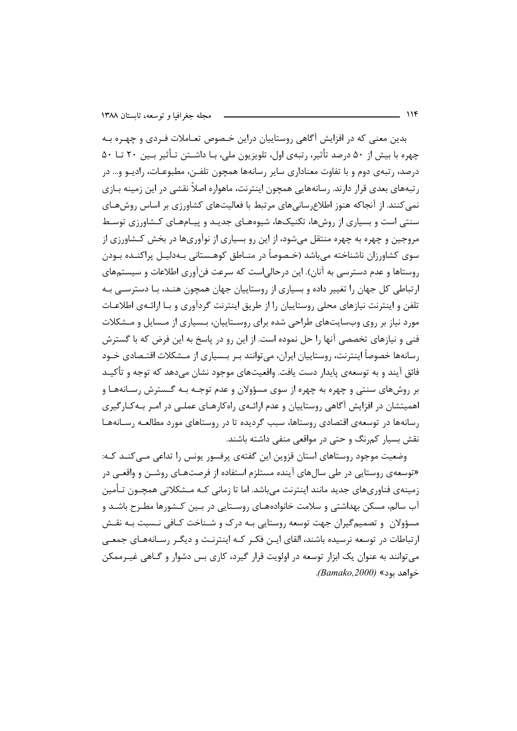بدین معنی که در افزایش آگاهی روستاییان دراین خـصوص تعــاملات فــردی و چهــره بــه چهره با بیش از ۵۰ درصد تأثیر، رتبهی اول، تلویزیون ملی، بـا داشــتن تـأثیر بــین ۲۰ تـا ۵۰ درصد، رتبهي دوم و با تفاوت معناداري ساير رسانهها همچون تلفـن، مطبوعـات، راديـو و... در رتبههای بعدی قرار دارند. رسانههایی همچون اینترنت، ماهواره اصلاً نقشی در این زمینه بـازی نمي كنند. از آنجاكه هنوز اطلاع ساني هاي مرتبط با فعاليتهاي كشاورزي بر اساس روش هـاي سنتی است و بسیاری از روشها، تکنیکها، شیوههـای جدیـد و پیـامهـای کـشاورزی توسـط مروجین و چهره به چهره منتقل میشود، از این رو بسیاری از نوآوریها در بخش کـشاورزی از سوی کشاورزان ناشناخته می باشد (خـصوصاً در منــاطق کوهــستانی بــهدلیــل پراکنــده بــودن روستاها و عدم دسترسی به آنان). این درحالی است که سرعت فنآوری اطلاعات و سیستمهای ارتباطی کل جهان را تغییر داده و بسیاری از روستاییان جهان همچون هنـد، بـا دسترسـی بـه تلفن و اینترنت نیازهای محلی روستاییان را از طریق اینترنت گردآوری و بـا ارائـهی اطلاعـات مورد نیاز بر روی وبسایتهای طراحی شده برای روستاییان، بـسیاری از مـسایل و مـشکلات فنی و نیازهای تخصصی آنها را حل نموده است. از این رو در پاسخ به این فرض که با گسترش رسانهها خصوصاً اینترنت، روستاییان ایران، می توانند بـر بـسیاری از مـشکلات اقتـصادی خـود فائق آيند و به توسعهي پايدار دست يافت. واقعيتهاي موجود نشان ميدهد كه توجه و تأكيـد بر روشهای سنتی و چهره به چهره از سوی مسؤولان و عدم توجـه بـه گـسترش رسـانههـا و اهمیتشان در افزایش آگاهی روستاییان و عدم ارائـهی راهکارهـای عملـی در امـر بـهکـارگیری رسانهها در توسعهی اقتصادی روستاها، سبب گردیده تا در روستاهای مورد مطالعـه رسـانههـا نقش بسیار کمرنگ و حتی در مواقعی منفی داشته باشند.

وضعیت موجود روستاهای استان قزوین این گفتهی پرفسور یونس را تداعی مـیکنـد کـه: «توسعهی روستایی در طی سالهای آینده مستلزم استفاده از فرصتهـای روشــن و واقعــی در زمینەی فناوریھای جدید مانند اینترنت می،باشد. اما تا زمانی کـه مـشکلاتی همچـون تـأمین آب سالم، مسکن بهداشتی و سلامت خانوادههـای روسـتایی در بـین کـشورها مطـرح باشـد و مسؤولان و تصمیم گیران جهت توسعه روستایی بـه درک و شـناخت کـافی نـسبت بـه نقـش ارتباطات در توسعه نرسیده باشند، القای ایـن فکـر کـه اینترنـت و دیگـر رسـانههـای جمعـی می توانند به عنوان یک ابزار توسعه در اولویت قرار گیرد، کاری بس دشوار و گـاهی غیـرممکن خواهد بود» (Bamako,2000).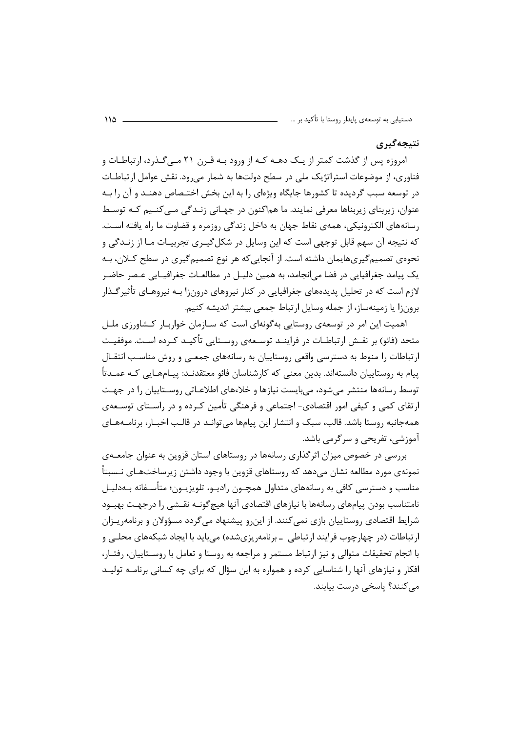### نتيجەگيرى

امروزه پس از گذشت کمتر از یـک دهـه کـه از ورود بـه قـرن ۲۱ مـی *گ*ـذرد، ارتباطـات و فناوری، از موضوعات استراتژیک ملی در سطح دولتها به شمار می رود. نقش عوامل ارتباطـات در توسعه سبب گردیده تا کشورها جایگاه ویژهای را به این بخش اختـصاص دهنــد و آن را بــه عنوان، زیربنای زیربناها معرفی نمایند. ما هماکنون در جهـانی زنـدگی مـیکنـیم کـه توسـط رسانههای الکترونیکی، همهی نقاط جهان به داخل زندگی روزمره و قضاوت ما راه یافته است. که نتیجه آن سهم قابل توجهی است که این وسایل در شکل گیـری تجربیـات مـا از زنــدگی و نحوهی تصمیم گیریهایمان داشته است. از آنجایی که هر نوع تصمیم گیری در سطح کـلان، بـه یک پیامد جغرافیایی در فضا می|نجامد، به همین دلیـل در مطالعـات جغرافیـایی عـصر حاضـر لازم است که در تحلیل پدیدههای جغرافیایی در کنار نیروهای درون;ا بـه نیروهـای تأثیر گـذار برونزا يا زمينهساز، از جمله وسايل ارتباط جمعي بيشتر انديشه كنيم.

اهمیت این امر در توسعهی روستایی بهگونهای است که سـازمان خواربـار کـشاورزی ملـل متحد (فائو) بر نقـش ارتباطـات در فراينــد توســعهى روســتايي تأكيــد كــرده اســت. موفقيـت ارتباطات را منوط به دسترسی واقعی روستاییان به رسانههای جمعـی و روش مناسـب انتقـال پیام به روستاییان دانستهاند. بدین معنی که کارشناسان فائو معتقدنــد: پیــامهــایی کــه عمــدتأ توسط رسانهها منتشر می شود، می بایست نیازها و خلاءهای اطلاعـاتی روسـتاییان را در جهـت ارتقای کمی و کیفی امور اقتصادی- اجتماعی و فرهنگی تأمین کـرده و در راسـتای توسـعهی همهجانبه روستا باشد. قالب، سبک و انتشار این پیامها میتوانـد در قالـب اخبـار، برنامـههـای آموزشي، تفريحي و سرگرمي باشد.

بررسی در خصوص میزان اثر گذاری رسانهها در روستاهای استان قزوین به عنوان جامعـهی نمونهی مورد مطالعه نشان می۵هد که روستاهای قزوین با وجود داشتن زیرساختهـای نـسبتاً مناسب و دسترسی کافی به رسانههای متداول همچــون رادیــو، تلویزیــون؛ متأســفانه بــهدلیــل نامتناسب بودن پیامهای رسانهها با نیازهای اقتصادی آنها هیچگونــه نقــشی را درجهـت بهبــود شرایط اقتصادی روستاییان بازی نمی کنند. از این رو پیشنهاد می گردد مسؤولان و برنامه ییزان ارتباطات (در چهارچوب فرایند ارتباطی بـ برنامهریزیشده) می باید با ایجاد شبکههای محلبی و با انجام تحقیقات متوالی و نیز ارتباط مستمر و مراجعه به روستا و تعامل با روسـتاییان، رفتـار، افکار و نیازهای آنها را شناسایی کرده و همواره به این سؤال که برای چه کسانی برنامـه تولیـد می کنند؟ پاسخی درست بیابند.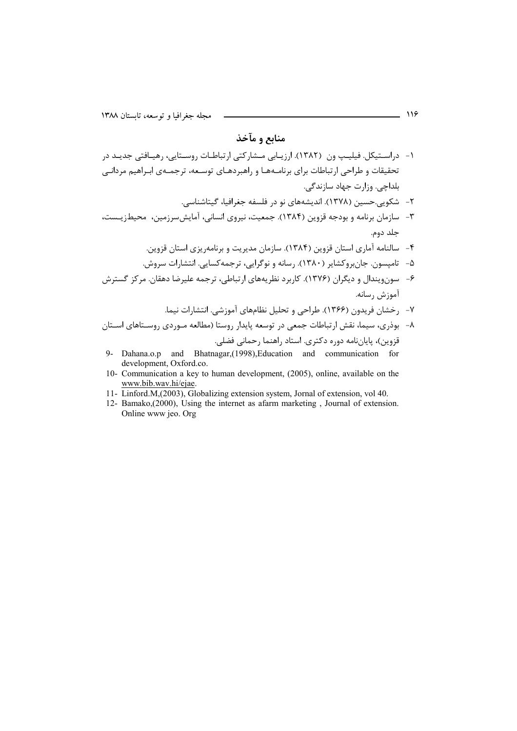## منابع و مآخذ

- ۱- دراسـتیکل. فیلیـپ ون (۱۳۸۲). ارزیـابی مـشارکتی ارتباطـات روسـتایی، رهیـافتی جدیـد در تحقیقات و طراحی ارتباطات برای برنامـههـا و راهبردهـای توسـعه، ترجمـهی ابـراهیم مردانـی بلداچي. وزارت جهاد سازندگے.
	- ٢– شكوبي.حسين (١٣٧٨). انديشەهاي نو در فلسفه جغرافيا، گيتاشناسي.
- ۳- سازمان برنامه و بودجه قزوین (۱۳۸۴). جمعیت، نیروی انسانی، آمایش سرزمین، محیطزیست، جلد دوم.
	- ۴- سالنامه آماری استان قزوین (۱۳۸۴). سازمان مدیریت و برنامهریزی استان قزوین.
	- ۵- تامیسون. جانبروکشایر (۱۳۸۰). رسانه و نوگرایی، ترجمهکسایی. انتشارات سروش.
- ۶- سونویندال و دیگران (۱۳۷۶). کاربرد نظریههای ارتباطی، ترجمه علیرضا دهقان. مرکز گسترش آموزش رسانه.
	- ۷- رخشان فریدون (۱۳۶۶). طراحی و تحلیل نظامهای آموزشی. انتشارات نیما.
- ۸– بوذری، سیما، نقش ارتباطات جمعی در توسعه پایدار روستا (مطالعه مـوردی روسـتاهای اسـتان قزوین)، پایاننامه دوره دکتری. استاد راهنما رحمانی فضلی.
- 9- Dahana.o.p and Bhatnagar, (1998), Education and communication for development, Oxford.co.
- 10- Communication a key to human development, (2005), online, available on the www.bib.wav.hi/ejae.
- 11- Linford.M,(2003), Globalizing extension system, Jornal of extension, vol 40.
- 12- Bamako, (2000), Using the internet as afarm marketing, Journal of extension. Online www jeo. Org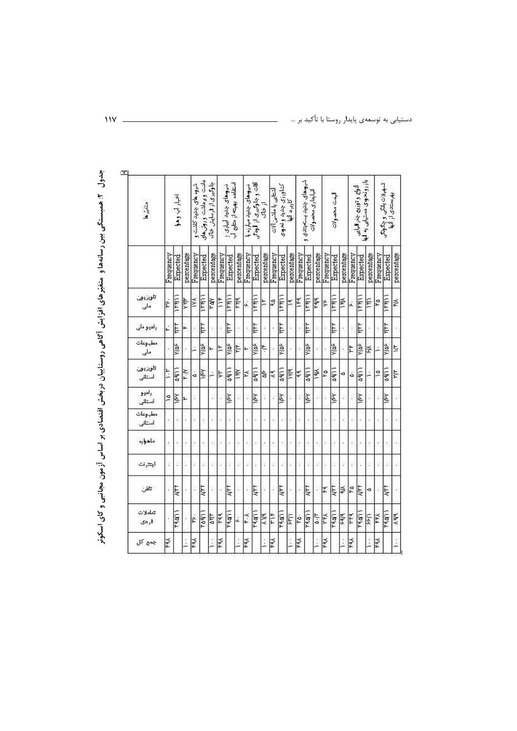جدول ۲: همبستگی بین رسانهها و متغیّرهای افزایش آگاهی روستاییان دربخش اقتصادی بر اساس آزمون مجانبی و کای اسکوئر

| متخيرها               |           | اخيار آب وهوا |            | شوه های جدید کاشت و | دانت و رداشت و ریش های | جلوگیری از فرسایش خاک |               | نیوهای چنید آبیاری ر<br>امتفاده بهجه از متابع آب |            | نيوهای جذید میارزه یا    | أقات وجاوكيرى از الودكي | از خاک     | أشتاعي با ماشئ ألات |               | کتاورزی چدید و نحوی<br>کاربرد آنها |           | شروهای چذیذ بستهبتدی و | انیا رداری محصولات |           | إيمت محصولات |            |           | آلوای و توزیع جذر الیایی<br>باز رو نحوی دستیابی به آبا |            |           | ۳ـ په دن بانکي و چکونکې<br>په رستان از آنها |               |
|-----------------------|-----------|---------------|------------|---------------------|------------------------|-----------------------|---------------|--------------------------------------------------|------------|--------------------------|-------------------------|------------|---------------------|---------------|------------------------------------|-----------|------------------------|--------------------|-----------|--------------|------------|-----------|--------------------------------------------------------|------------|-----------|---------------------------------------------|---------------|
|                       | Frequency | Expected      | percentage | Frequency           | Expected               | percentage            | Frequency     | Expected                                         | percentage | Frequency                | Expected                | percentage | Frequency           | Expected      | percentage                         | Frequency | Expected               | percentage         | Frequency | Expected     | percentage | Frequency | Expected                                               | percentage | Frequency | Expected                                    | percentage    |
| تلويزيون<br>.<br>ملي  | k         | 1441          | ţ          | XX                  | 1441                   | řář                   | $\frac{1}{2}$ | 1441                                             | E          | .<br>تە                  | $\frac{1}{2}$           | č          | ç                   | 1141          | Ľ                                  | ١ř٩       | 11811                  | <b>Lidd</b>        | ķ,        | E            | 医          | ä,        | 1181                                                   | E          | P         | 1441                                        | 斧             |
| رادیو ما <sub>ی</sub> | ).        | FALL          | ۳          |                     | Fil                    |                       |               | E                                                | t.         | $\tilde{\mathbb{R}}$     | FALL                    |            | ċ                   | E             |                                    |           | inh                    |                    |           | E            |            | ś         | Fil                                                    |            |           | File                                        |               |
| مطيوعات<br>ملی        |           | AUX           |            |                     | eix                    |                       | 는             | <b>SRIA</b>                                      | 当          | H                        | <b>S</b>                | Ļ          |                     | <b>SRIA</b>   |                                    |           | klos                   |                    |           | <b>PA</b>    |            | ř         | Yja <sup>ş</sup>                                       | 즗          | Ľ,        | Yip <sup>s</sup>                            | ξĒ,           |
| تلويزيون<br>أستأنى    | ŀ         | a qi          | Ϋ́Ч        | ä                   | Ķ                      |                       | <b>A</b>      | $\frac{1}{2}$                                    | Υŕγ        | ¦≍                       | <b>S</b>                | ģ          | ٩Ä                  | $\frac{1}{2}$ | <b>MM</b>                          | 44        | 11.60                  | ≯ek                | Ιů        | 9411         | a          | á         | aq)                                                    |            | ă         | 9411                                        | 는             |
| راديو<br>أستأنى       | £         | χğ            | Ļ          | G)                  |                        | D                     |               | 运                                                | ý,         | B                        | 迳                       | Ġ.         | š                   | 図             |                                    | G         | kdl                    | B                  |           | k            |            | ţ,        | う                                                      |            | ý,        | χ                                           |               |
| مطيوعات<br>أستأنى     |           |               | è          |                     |                        | ×,                    |               |                                                  | ķ,         | $\overline{\mathcal{N}}$ |                         |            | ł.                  |               |                                    | í,        |                        |                    | è         |              |            | ×         |                                                        |            | k,        |                                             |               |
| ماھرارە               | ċ         |               |            |                     |                        | ś,                    |               |                                                  | ¢,         | $\overline{\mathcal{D}}$ |                         | ł.         | ċ                   | ţ.            |                                    | ċ         |                        |                    | ŀ         |              |            | ś.        |                                                        |            | ¢         |                                             |               |
| ايترنت                | Ý.        | Ø.            | Ì.         | ¢                   | V.                     | B                     | Ì.            | ĵ.                                               | ý.         | D                        | ĵ.                      | ţ.         | R                   | b             |                                    | ¢         | X,                     | b                  | Ì.        | ¢            | R          | D         | í.                                                     | ĵ.         | k         | Ŷ,                                          |               |
| تلقن                  | ¥         | <b>ALLY</b>   | î          | J.                  | ķλ                     | ï                     |               | k۳۲                                              | ř          | š                        | <b>ALL</b>              | i,         | ì                   | <b>FAN</b>    |                                    | ì.        | <b>ALAY</b>            |                    | ۴q        | Ę            | క్         | P         | ή                                                      | ۰          |           | <b>ATT</b>                                  |               |
| تعاملات<br>فردی       |           | 4901          |            | Ł                   | raqi                   | ξ                     | <b>Faq</b>    | 49.91                                            | j.         | K                        | 19.91                   | 人作         | Ĕ                   | 19.4TT        | E                                  | ė         | 14801                  | ۵۰r                | 돑         | ragii        | <b>Bib</b> | ř         | اللهاما                                                | 5          | k₹        | ragn                                        | $\lambda$ q/q |
| جمع کل                | k₹        |               | Î          | řά                  |                        | Î                     | ¥٩            |                                                  | Í          | ¥٩                       |                         | j.         | ¥٩                  |               | Î.                                 | ∣≨        |                        | Î                  | ¥٨        |              | j.         | ۴QX       |                                                        | j.         | k₫        |                                             |               |

 $\mathbf{W}$ .

دستیابی به توسعهی پایدار روستا با تأکید بر …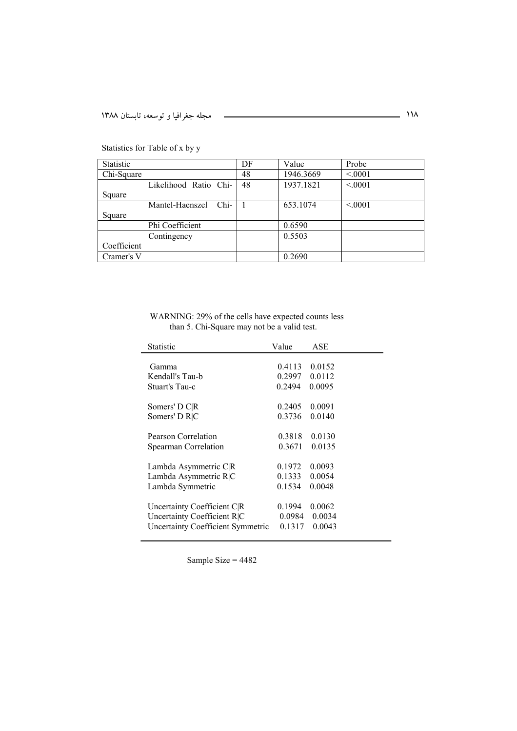| <b>Statistic</b> |                         | DF | Value     | Probe  |
|------------------|-------------------------|----|-----------|--------|
| Chi-Square       |                         | 48 | 1946.3669 | < 0001 |
|                  | Likelihood Ratio Chi-   | 48 | 1937.1821 | < 0001 |
| Square           |                         |    |           |        |
|                  | Chi-<br>Mantel-Haenszel |    | 653.1074  | < 0001 |
| Square           |                         |    |           |        |
|                  | Phi Coefficient         |    | 0.6590    |        |
|                  | Contingency             |    | 0.5503    |        |
| Coefficient      |                         |    |           |        |
| Cramer's V       |                         |    | 0.2690    |        |

Statistics for Table of x by y

WARNING: 29% of the cells have expected counts less than 5. Chi-Square may not be a valid test.

| Statistic                                | Value  | ASE    |  |
|------------------------------------------|--------|--------|--|
|                                          |        | 0.0152 |  |
| Gamma                                    | 0.4113 |        |  |
| Kendall's Tau-b                          | 0.2997 | 0.0112 |  |
| Stuart's Tau-c                           | 0.2494 | 0.0095 |  |
|                                          |        |        |  |
| Somers' D C R                            | 0.2405 | 0.0091 |  |
| Somers' D R C                            | 0.3736 | 0.0140 |  |
|                                          |        |        |  |
| Pearson Correlation                      | 0.3818 | 0.0130 |  |
| Spearman Correlation                     | 0.3671 | 0.0135 |  |
| Lambda Asymmetric C R                    | 0.1972 | 0.0093 |  |
|                                          |        |        |  |
| Lambda Asymmetric R C                    | 0.1333 | 0.0054 |  |
| Lambda Symmetric                         | 0.1534 | 0.0048 |  |
|                                          | 0.1994 | 0.0062 |  |
| Uncertainty Coefficient C R              |        |        |  |
| Uncertainty Coefficient R C              | 0.0984 | 0.0034 |  |
| <b>Uncertainty Coefficient Symmetric</b> | 0.1317 | 0.0043 |  |
|                                          |        |        |  |

Sample Size = 4482